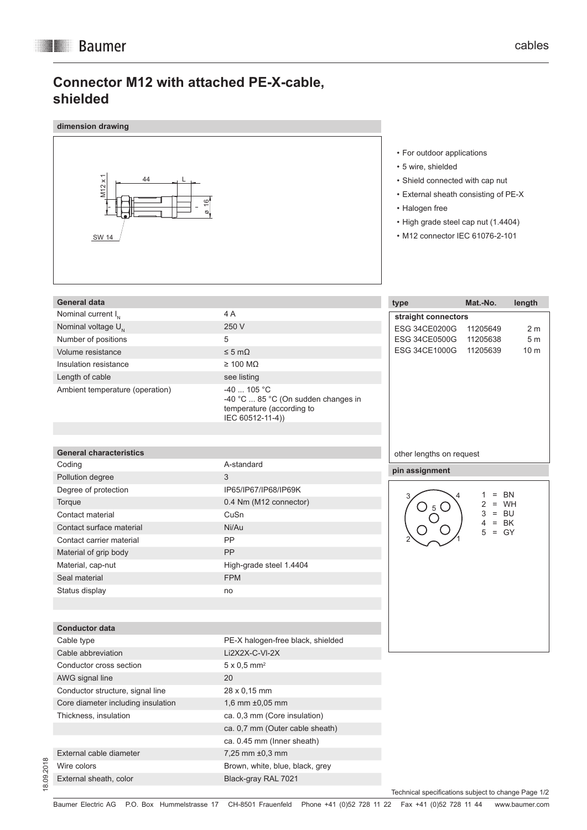## **Connector M12 with attached PE-X-cable, shielded**

| dimension drawing                                           |                                                                                                      |                                                                                                                                                                                                                         |                       |                                  |
|-------------------------------------------------------------|------------------------------------------------------------------------------------------------------|-------------------------------------------------------------------------------------------------------------------------------------------------------------------------------------------------------------------------|-----------------------|----------------------------------|
| $M12 \times 1$<br>44<br>$\frac{6}{5}$<br>Q.<br><b>SW 14</b> |                                                                                                      | • For outdoor applications<br>• 5 wire, shielded<br>• Shield connected with cap nut<br>• External sheath consisting of PE-X<br>• Halogen free<br>• High grade steel cap nut (1.4404)<br>• M12 connector IEC 61076-2-101 |                       |                                  |
| <b>General data</b>                                         |                                                                                                      |                                                                                                                                                                                                                         | Mat.-No.              |                                  |
| Nominal current $I_{N}$                                     | 4 A                                                                                                  | type                                                                                                                                                                                                                    |                       | length                           |
| Nominal voltage U <sub>N</sub>                              | 250 V                                                                                                | straight connectors                                                                                                                                                                                                     |                       |                                  |
| Number of positions                                         | 5                                                                                                    | <b>ESG 34CE0200G</b><br><b>ESG 34CE0500G</b>                                                                                                                                                                            | 11205649<br>11205638  | 2 <sub>m</sub><br>5 <sub>m</sub> |
| Volume resistance                                           | $\leq 5 \text{ m}\Omega$                                                                             | ESG 34CE1000G                                                                                                                                                                                                           | 11205639              | 10 <sub>m</sub>                  |
| Insulation resistance                                       | $\geq$ 100 M $\Omega$                                                                                |                                                                                                                                                                                                                         |                       |                                  |
| Length of cable                                             | see listing                                                                                          |                                                                                                                                                                                                                         |                       |                                  |
| Ambient temperature (operation)                             | $-40$ 105 °C<br>-40 °C  85 °C (On sudden changes in<br>temperature (according to<br>IEC 60512-11-4)) |                                                                                                                                                                                                                         |                       |                                  |
| <b>General characteristics</b>                              |                                                                                                      | other lengths on request                                                                                                                                                                                                |                       |                                  |
| Coding                                                      | A-standard<br>3                                                                                      | pin assignment                                                                                                                                                                                                          |                       |                                  |
| Pollution degree<br>Degree of protection                    | IP65/IP67/IP68/IP69K                                                                                 |                                                                                                                                                                                                                         |                       |                                  |
| Torque                                                      | 0.4 Nm (M12 connector)                                                                               |                                                                                                                                                                                                                         | Ξ.                    | BN                               |
| Contact material                                            | CuSn                                                                                                 |                                                                                                                                                                                                                         | $= WH$<br>$=$ BU<br>3 |                                  |
| Contact surface material                                    | Ni/Au                                                                                                |                                                                                                                                                                                                                         | $= BK$<br>4           |                                  |
| Contact carrier material                                    | PP                                                                                                   |                                                                                                                                                                                                                         | $= GY$<br>5           |                                  |
| Material of grip body                                       | PP                                                                                                   |                                                                                                                                                                                                                         |                       |                                  |
| Material, cap-nut                                           | High-grade steel 1.4404                                                                              |                                                                                                                                                                                                                         |                       |                                  |
| Seal material                                               | <b>FPM</b>                                                                                           |                                                                                                                                                                                                                         |                       |                                  |
| Status display                                              | no                                                                                                   |                                                                                                                                                                                                                         |                       |                                  |
|                                                             |                                                                                                      |                                                                                                                                                                                                                         |                       |                                  |
|                                                             |                                                                                                      |                                                                                                                                                                                                                         |                       |                                  |
| <b>Conductor data</b><br>Cable type                         | PE-X halogen-free black, shielded                                                                    |                                                                                                                                                                                                                         |                       |                                  |
| Cable abbreviation                                          | Li2X2X-C-VI-2X                                                                                       |                                                                                                                                                                                                                         |                       |                                  |
| Conductor cross section                                     | $5 \times 0.5$ mm <sup>2</sup>                                                                       |                                                                                                                                                                                                                         |                       |                                  |
| AWG signal line                                             | 20                                                                                                   |                                                                                                                                                                                                                         |                       |                                  |
| Conductor structure, signal line                            | 28 x 0,15 mm                                                                                         |                                                                                                                                                                                                                         |                       |                                  |
| Core diameter including insulation                          | 1,6 mm ±0,05 mm                                                                                      |                                                                                                                                                                                                                         |                       |                                  |
| Thickness, insulation                                       | ca. 0,3 mm (Core insulation)                                                                         |                                                                                                                                                                                                                         |                       |                                  |
|                                                             | ca. 0,7 mm (Outer cable sheath)                                                                      |                                                                                                                                                                                                                         |                       |                                  |
|                                                             | ca. 0.45 mm (Inner sheath)                                                                           |                                                                                                                                                                                                                         |                       |                                  |
| External cable diameter                                     | 7,25 mm ±0,3 mm                                                                                      |                                                                                                                                                                                                                         |                       |                                  |
| Wire colors                                                 | Brown, white, blue, black, grey                                                                      |                                                                                                                                                                                                                         |                       |                                  |
| External sheath, color                                      | Black-gray RAL 7021                                                                                  |                                                                                                                                                                                                                         |                       |                                  |

Technical specifications subject to change Page 1/2